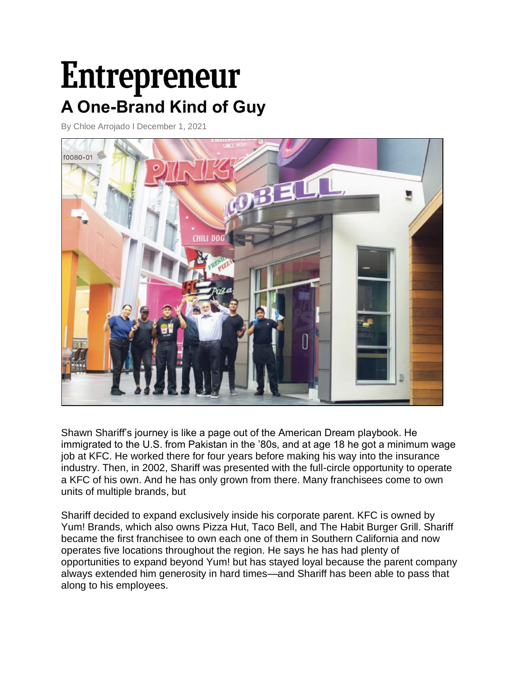# Entrepreneur **A One-Brand Kind of Guy**

By Chloe Arrojado I December 1, 2021



Shawn Shariff's journey is like a page out of the American Dream playbook. He immigrated to the U.S. from Pakistan in the '80s, and at age 18 he got a minimum wage job at KFC. He worked there for four years before making his way into the insurance industry. Then, in 2002, Shariff was presented with the full-circle opportunity to operate a KFC of his own. And he has only grown from there. Many franchisees come to own units of multiple brands, but

Shariff decided to expand exclusively inside his corporate parent. KFC is owned by Yum! Brands, which also owns Pizza Hut, Taco Bell, and The Habit Burger Grill. Shariff became the first franchisee to own each one of them in Southern California and now operates five locations throughout the region. He says he has had plenty of opportunities to expand beyond Yum! but has stayed loyal because the parent company always extended him generosity in hard times—and Shariff has been able to pass that along to his employees.